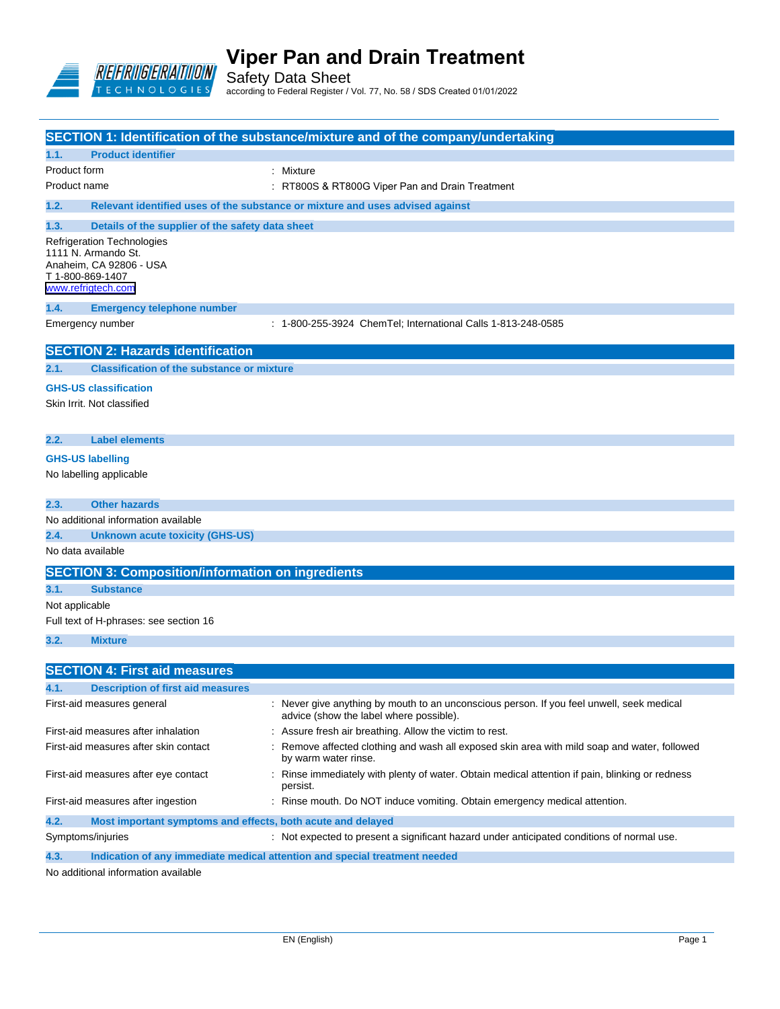

Safety Data Sheet according to Federal Register / Vol. 77, No. 58 / SDS Created 01/01/2022

| SECTION 1: Identification of the substance/mixture and of the company/undertaking |                                                                                                                        |                                                                                                                                    |  |  |
|-----------------------------------------------------------------------------------|------------------------------------------------------------------------------------------------------------------------|------------------------------------------------------------------------------------------------------------------------------------|--|--|
| 1.1.                                                                              | <b>Product identifier</b>                                                                                              |                                                                                                                                    |  |  |
| Product form                                                                      |                                                                                                                        | : Mixture                                                                                                                          |  |  |
| Product name                                                                      |                                                                                                                        | : RT800S & RT800G Viper Pan and Drain Treatment                                                                                    |  |  |
| 1.2.                                                                              |                                                                                                                        | Relevant identified uses of the substance or mixture and uses advised against                                                      |  |  |
| 1.3.                                                                              | Details of the supplier of the safety data sheet                                                                       |                                                                                                                                    |  |  |
|                                                                                   | Refrigeration Technologies<br>1111 N. Armando St.<br>Anaheim, CA 92806 - USA<br>T 1-800-869-1407<br>www.refrigtech.com |                                                                                                                                    |  |  |
| 1.4.                                                                              | <b>Emergency telephone number</b>                                                                                      |                                                                                                                                    |  |  |
|                                                                                   | Emergency number                                                                                                       | : 1-800-255-3924 ChemTel; International Calls 1-813-248-0585                                                                       |  |  |
|                                                                                   | <b>SECTION 2: Hazards identification</b>                                                                               |                                                                                                                                    |  |  |
| 2.1.                                                                              | <b>Classification of the substance or mixture</b>                                                                      |                                                                                                                                    |  |  |
|                                                                                   | <b>GHS-US classification</b><br>Skin Irrit. Not classified                                                             |                                                                                                                                    |  |  |
| 2.2.                                                                              | <b>Label elements</b>                                                                                                  |                                                                                                                                    |  |  |
|                                                                                   | <b>GHS-US labelling</b><br>No labelling applicable                                                                     |                                                                                                                                    |  |  |
| 2.3.                                                                              | <b>Other hazards</b>                                                                                                   |                                                                                                                                    |  |  |
|                                                                                   | No additional information available                                                                                    |                                                                                                                                    |  |  |
| 2.4.                                                                              | <b>Unknown acute toxicity (GHS-US)</b>                                                                                 |                                                                                                                                    |  |  |
| No data available                                                                 |                                                                                                                        |                                                                                                                                    |  |  |
|                                                                                   | <b>SECTION 3: Composition/information on ingredients</b>                                                               |                                                                                                                                    |  |  |
| 3.1.                                                                              | <b>Substance</b>                                                                                                       |                                                                                                                                    |  |  |
| Not applicable                                                                    |                                                                                                                        |                                                                                                                                    |  |  |
|                                                                                   | Full text of H-phrases: see section 16                                                                                 |                                                                                                                                    |  |  |
| 3.2.                                                                              | <b>Mixture</b>                                                                                                         |                                                                                                                                    |  |  |
|                                                                                   | <b>SECTION 4: First aid measures</b>                                                                                   |                                                                                                                                    |  |  |
| 4.1.                                                                              | <b>Description of first aid measures</b>                                                                               |                                                                                                                                    |  |  |
|                                                                                   | First-aid measures general                                                                                             | Never give anything by mouth to an unconscious person. If you feel unwell, seek medical<br>advice (show the label where possible). |  |  |
| First-aid measures after inhalation                                               |                                                                                                                        | : Assure fresh air breathing. Allow the victim to rest.                                                                            |  |  |
|                                                                                   | First-aid measures after skin contact                                                                                  | Remove affected clothing and wash all exposed skin area with mild soap and water, followed<br>by warm water rinse.                 |  |  |
| First-aid measures after eye contact                                              |                                                                                                                        | Rinse immediately with plenty of water. Obtain medical attention if pain, blinking or redness<br>persist.                          |  |  |
| First-aid measures after ingestion                                                |                                                                                                                        | : Rinse mouth. Do NOT induce vomiting. Obtain emergency medical attention.                                                         |  |  |
| 4.2.                                                                              | Most important symptoms and effects, both acute and delayed                                                            |                                                                                                                                    |  |  |
|                                                                                   | Symptoms/injuries                                                                                                      | : Not expected to present a significant hazard under anticipated conditions of normal use.                                         |  |  |

**4.3. Indication of any immediate medical attention and special treatment needed**

No additional information available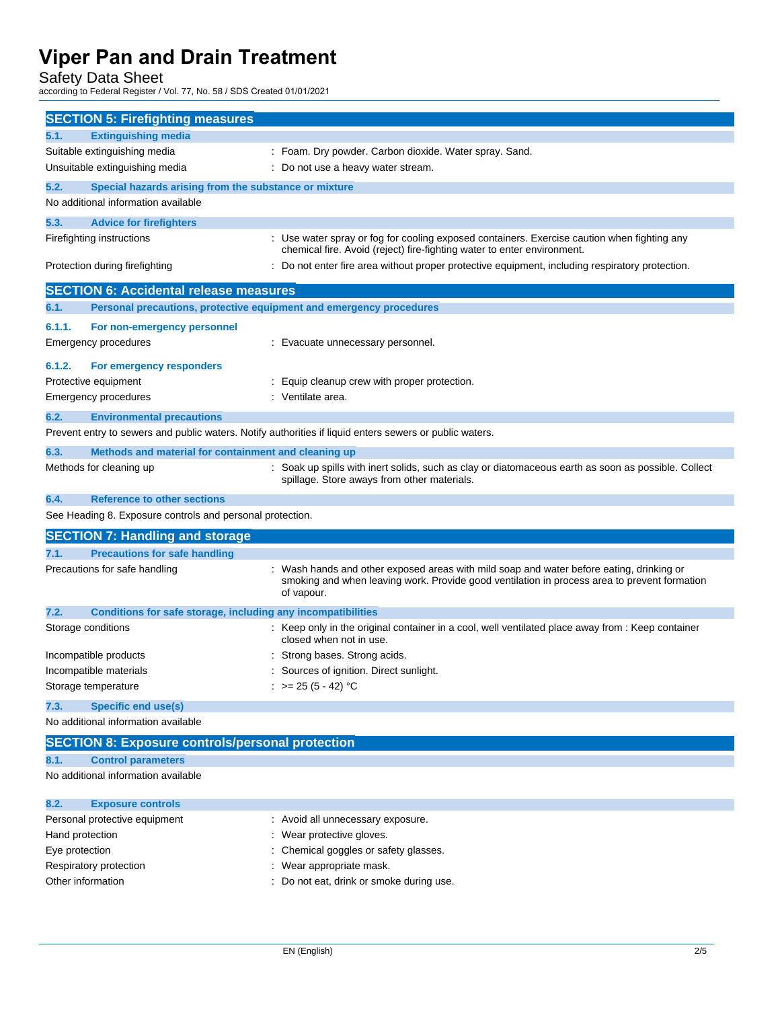Safety Data Sheet

according to Federal Register / Vol. 77, No. 58 / SDS Created 01/01/2021

| <b>SECTION 5: Firefighting measures</b>                                                                 |                                                                                                                                                                                                        |
|---------------------------------------------------------------------------------------------------------|--------------------------------------------------------------------------------------------------------------------------------------------------------------------------------------------------------|
| 5.1.<br><b>Extinguishing media</b>                                                                      |                                                                                                                                                                                                        |
| Suitable extinguishing media                                                                            | : Foam. Dry powder. Carbon dioxide. Water spray. Sand.                                                                                                                                                 |
| Unsuitable extinguishing media                                                                          | : Do not use a heavy water stream.                                                                                                                                                                     |
| 5.2.<br>Special hazards arising from the substance or mixture                                           |                                                                                                                                                                                                        |
| No additional information available                                                                     |                                                                                                                                                                                                        |
| 5.3.<br><b>Advice for firefighters</b>                                                                  |                                                                                                                                                                                                        |
| Firefighting instructions                                                                               | : Use water spray or fog for cooling exposed containers. Exercise caution when fighting any                                                                                                            |
|                                                                                                         | chemical fire. Avoid (reject) fire-fighting water to enter environment.                                                                                                                                |
| Protection during firefighting                                                                          | : Do not enter fire area without proper protective equipment, including respiratory protection.                                                                                                        |
|                                                                                                         |                                                                                                                                                                                                        |
| <b>SECTION 6: Accidental release measures</b>                                                           |                                                                                                                                                                                                        |
| 6.1.<br>Personal precautions, protective equipment and emergency procedures                             |                                                                                                                                                                                                        |
| 6.1.1.<br>For non-emergency personnel                                                                   |                                                                                                                                                                                                        |
| Emergency procedures                                                                                    | : Evacuate unnecessary personnel.                                                                                                                                                                      |
|                                                                                                         |                                                                                                                                                                                                        |
| 6.1.2.<br>For emergency responders                                                                      |                                                                                                                                                                                                        |
| Protective equipment                                                                                    | : Equip cleanup crew with proper protection.<br>: Ventilate area.                                                                                                                                      |
| Emergency procedures                                                                                    |                                                                                                                                                                                                        |
| 6.2.<br><b>Environmental precautions</b>                                                                |                                                                                                                                                                                                        |
| Prevent entry to sewers and public waters. Notify authorities if liquid enters sewers or public waters. |                                                                                                                                                                                                        |
| 6.3.<br>Methods and material for containment and cleaning up                                            |                                                                                                                                                                                                        |
| Methods for cleaning up                                                                                 | : Soak up spills with inert solids, such as clay or diatomaceous earth as soon as possible. Collect<br>spillage. Store aways from other materials.                                                     |
| 6.4.<br><b>Reference to other sections</b>                                                              |                                                                                                                                                                                                        |
| See Heading 8. Exposure controls and personal protection.                                               |                                                                                                                                                                                                        |
|                                                                                                         |                                                                                                                                                                                                        |
| <b>SECTION 7: Handling and storage</b>                                                                  |                                                                                                                                                                                                        |
| <b>Precautions for safe handling</b><br>7.1.                                                            |                                                                                                                                                                                                        |
| Precautions for safe handling                                                                           | : Wash hands and other exposed areas with mild soap and water before eating, drinking or<br>smoking and when leaving work. Provide good ventilation in process area to prevent formation<br>of vapour. |
| 7.2.<br>Conditions for safe storage, including any incompatibilities                                    |                                                                                                                                                                                                        |
| Storage conditions                                                                                      | : Keep only in the original container in a cool, well ventilated place away from : Keep container<br>closed when not in use.                                                                           |
| Incompatible products                                                                                   | : Strong bases. Strong acids.                                                                                                                                                                          |
| Incompatible materials                                                                                  | Sources of ignition. Direct sunlight.                                                                                                                                                                  |
| Storage temperature                                                                                     | : $> = 25 (5 - 42) °C$                                                                                                                                                                                 |
| <b>Specific end use(s)</b><br>7.3.                                                                      |                                                                                                                                                                                                        |
| No additional information available                                                                     |                                                                                                                                                                                                        |
| <b>SECTION 8: Exposure controls/personal protection</b>                                                 |                                                                                                                                                                                                        |
| 8.1.<br><b>Control parameters</b>                                                                       |                                                                                                                                                                                                        |
| No additional information available                                                                     |                                                                                                                                                                                                        |
|                                                                                                         |                                                                                                                                                                                                        |
| 8.2.<br><b>Exposure controls</b>                                                                        |                                                                                                                                                                                                        |
| Personal protective equipment                                                                           | Avoid all unnecessary exposure.                                                                                                                                                                        |
| Hand protection                                                                                         | : Wear protective gloves.                                                                                                                                                                              |
|                                                                                                         |                                                                                                                                                                                                        |

- Eye protection  $\qquad \qquad : \qquad$  Chemical goggles or safety glasses.
- Respiratory protection **in the contract of the CO** is a Wear appropriate mask.
- Other information : Do not eat, drink or smoke during use.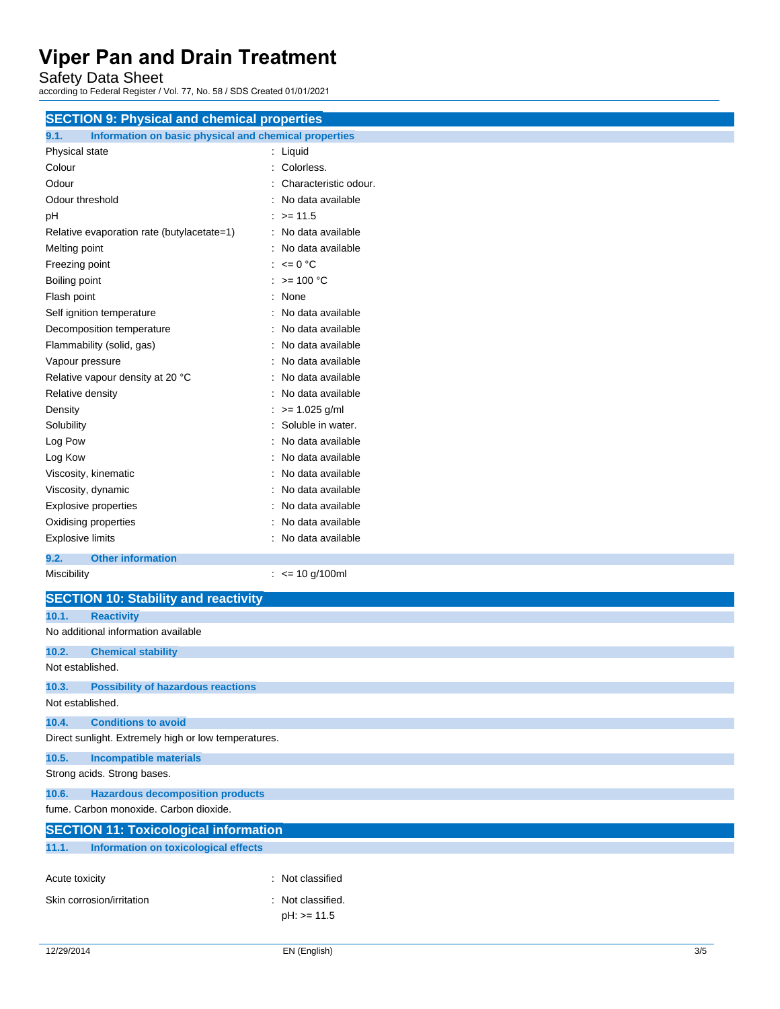Safety Data Sheet

according to Federal Register / Vol. 77, No. 58 / SDS Created 01/01/2021

| <b>SECTION 9: Physical and chemical properties</b>            |                       |  |  |
|---------------------------------------------------------------|-----------------------|--|--|
| 9.1.<br>Information on basic physical and chemical properties |                       |  |  |
| Physical state                                                | : Liquid              |  |  |
| Colour                                                        | Colorless.            |  |  |
| Odour                                                         | Characteristic odour. |  |  |
| Odour threshold                                               | No data available     |  |  |
| pH                                                            | $\therefore$ >= 11.5  |  |  |
| Relative evaporation rate (butylacetate=1)                    | : No data available   |  |  |
| Melting point                                                 | : No data available   |  |  |
| Freezing point                                                | : $\leq 0$ °C         |  |  |
| Boiling point                                                 | $: z = 100 °C$        |  |  |
| Flash point                                                   | : None                |  |  |
| Self ignition temperature                                     | : No data available   |  |  |
| Decomposition temperature                                     | : No data available   |  |  |
| Flammability (solid, gas)                                     | : No data available   |  |  |
| Vapour pressure                                               | : No data available   |  |  |
| Relative vapour density at 20 °C                              | : No data available   |  |  |
| Relative density                                              | : No data available   |  |  |
| Density                                                       | $>= 1.025$ g/ml       |  |  |
| Solubility                                                    | Soluble in water.     |  |  |
| Log Pow                                                       | No data available     |  |  |
| Log Kow                                                       | No data available     |  |  |
| Viscosity, kinematic                                          | No data available     |  |  |
| Viscosity, dynamic                                            | No data available     |  |  |
| <b>Explosive properties</b>                                   | No data available     |  |  |
| Oxidising properties                                          | : No data available   |  |  |
| <b>Explosive limits</b>                                       | : No data available   |  |  |
|                                                               |                       |  |  |
| 9.2.<br><b>Other information</b>                              |                       |  |  |
| Miscibility                                                   | $:$ <= 10 g/100ml     |  |  |
| <b>SECTION 10: Stability and reactivity</b>                   |                       |  |  |
| 10.1.<br><b>Reactivity</b>                                    |                       |  |  |
| No additional information available                           |                       |  |  |
| 10.2.<br><b>Chemical stability</b>                            |                       |  |  |
| Not established.                                              |                       |  |  |
| <b>Possibility of hazardous reactions</b><br>10.3.            |                       |  |  |
| Not established.                                              |                       |  |  |
| 10.4.<br><b>Conditions to avoid</b>                           |                       |  |  |
| Direct sunlight. Extremely high or low temperatures.          |                       |  |  |
|                                                               |                       |  |  |
| 10.5.<br><b>Incompatible materials</b>                        |                       |  |  |
| Strong acids. Strong bases.                                   |                       |  |  |
| <b>Hazardous decomposition products</b><br>10.6.              |                       |  |  |
| fume. Carbon monoxide. Carbon dioxide.                        |                       |  |  |
| <b>SECTION 11: Toxicological information</b>                  |                       |  |  |
| <b>Information on toxicological effects</b><br>11.1.          |                       |  |  |
| Acute toxicity                                                | : Not classified      |  |  |
| Skin corrosion/irritation                                     | : Not classified.     |  |  |
|                                                               |                       |  |  |
|                                                               | $pH: z = 11.5$        |  |  |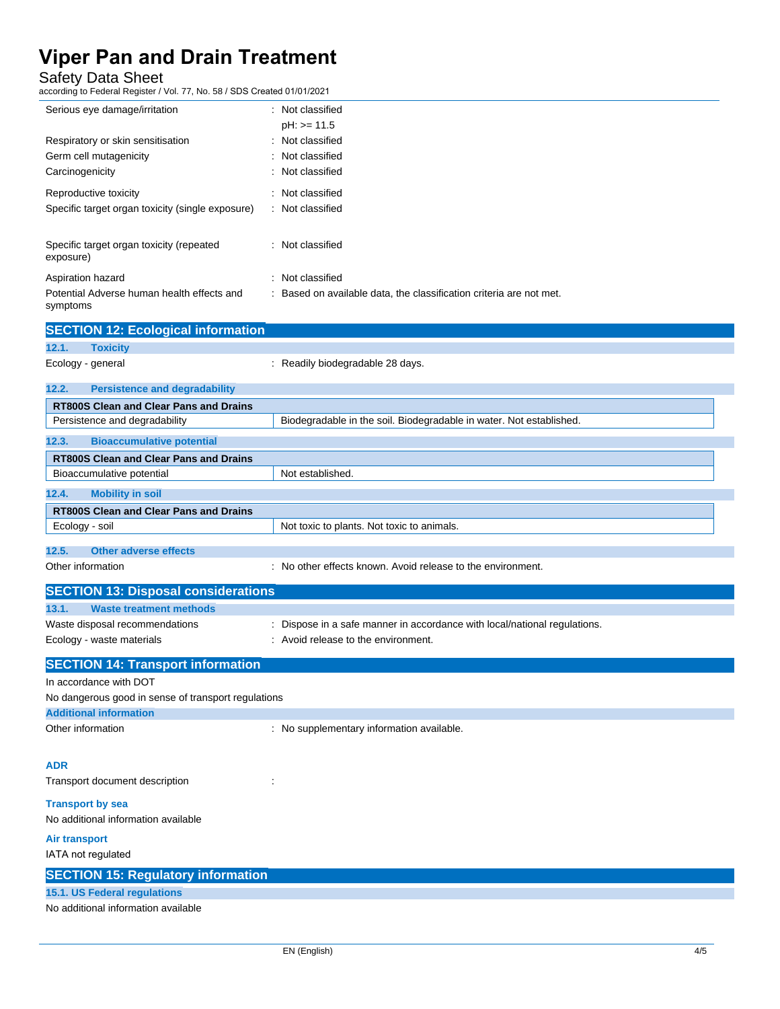Safety Data Sheet

according to Federal Register / Vol. 77, No. 58 / SDS Created 01/01/2021

| Serious eye damage/irritation                          | : Not classified<br>$pH: z = 11.5$                                  |
|--------------------------------------------------------|---------------------------------------------------------------------|
|                                                        |                                                                     |
| Respiratory or skin sensitisation                      | : Not classified                                                    |
| Germ cell mutagenicity                                 | : Not classified                                                    |
| Carcinogenicity                                        | : Not classified                                                    |
| Reproductive toxicity                                  | Not classified<br>÷                                                 |
| Specific target organ toxicity (single exposure)       | : Not classified                                                    |
|                                                        |                                                                     |
| Specific target organ toxicity (repeated               | Not classified<br>÷.                                                |
| exposure)                                              |                                                                     |
| Aspiration hazard                                      | : Not classified                                                    |
| Potential Adverse human health effects and<br>symptoms | : Based on available data, the classification criteria are not met. |
|                                                        |                                                                     |

|                               | <b>SECTION 12: Ecological information</b>  |                                                                     |  |  |
|-------------------------------|--------------------------------------------|---------------------------------------------------------------------|--|--|
| 12.1.                         | <b>Toxicity</b>                            |                                                                     |  |  |
| Ecology - general             |                                            | : Readily biodegradable 28 days.                                    |  |  |
| 12.2.                         | <b>Persistence and degradability</b>       |                                                                     |  |  |
|                               | RT800S Clean and Clear Pans and Drains     |                                                                     |  |  |
| Persistence and degradability |                                            | Biodegradable in the soil. Biodegradable in water. Not established. |  |  |
| 12.3.                         | <b>Bioaccumulative potential</b>           |                                                                     |  |  |
|                               | RT800S Clean and Clear Pans and Drains     |                                                                     |  |  |
| Bioaccumulative potential     |                                            | Not established.                                                    |  |  |
| 12.4.                         | <b>Mobility in soil</b>                    |                                                                     |  |  |
|                               | RT800S Clean and Clear Pans and Drains     |                                                                     |  |  |
| Ecology - soil                |                                            | Not toxic to plants. Not toxic to animals.                          |  |  |
| 12.5.                         | Other adverse effects                      |                                                                     |  |  |
| Other information             |                                            | : No other effects known. Avoid release to the environment.         |  |  |
|                               | <b>SECTION 13: Disposal considerations</b> |                                                                     |  |  |

| <u>ULUTION TU. DISPOSAI CONSIDEI ANONS</u>          |                                                                           |  |
|-----------------------------------------------------|---------------------------------------------------------------------------|--|
| 13.1.<br><b>Waste treatment methods</b>             |                                                                           |  |
| Waste disposal recommendations                      | : Dispose in a safe manner in accordance with local/national regulations. |  |
| Ecology - waste materials                           | : Avoid release to the environment.                                       |  |
| <b>SECTION 14: Transport information</b>            |                                                                           |  |
| In accordance with DOT                              |                                                                           |  |
| No dangerous good in sense of transport regulations |                                                                           |  |
| <b>Additional information</b>                       |                                                                           |  |
| Other information                                   | : No supplementary information available.                                 |  |
| <b>ADR</b>                                          |                                                                           |  |
| Transport document description                      |                                                                           |  |
| <b>Transport by sea</b>                             |                                                                           |  |
| No additional information available                 |                                                                           |  |
|                                                     |                                                                           |  |

**Air transport** IATA not regulated

**SECTION 15: Regulatory information**

### **15.1. US Federal regulations**

No additional information available